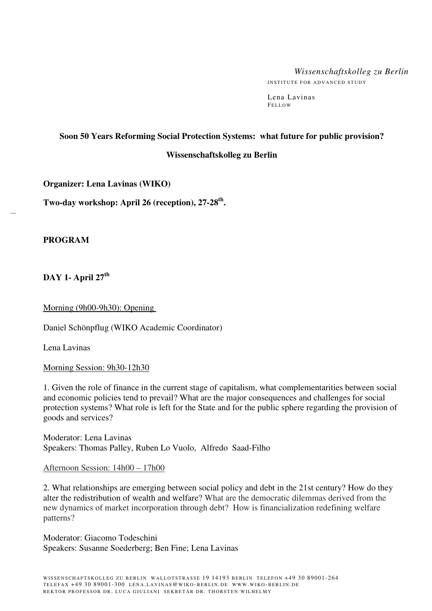# *Wissenschaftskolleg zu Berlin*

INSTITUTE FOR ADVANCED STUDY

Lena Lavinas FEI LOW

## **Soon 50 Years Reforming Social Protection Systems: what future for public provision?**

#### **Wissenschaftskolleg zu Berlin**

**Organizer: Lena Lavinas (WIKO)** 

**Two-day workshop: April 26 (reception), 27-28th .** 

## **PROGRAM**

 $\overline{\phantom{a}}$ 

**DAY 1- April 27th**

Morning (9h00-9h30): Opening

Daniel Schönpflug (WIKO Academic Coordinator)

Lena Lavinas

Morning Session: 9h30-12h30

1. Given the role of finance in the current stage of capitalism, what complementarities between social and economic policies tend to prevail? What are the major consequences and challenges for social protection systems? What role is left for the State and for the public sphere regarding the provision of goods and services?

Moderator: Lena Lavinas Speakers: Thomas Palley, Ruben Lo Vuolo, Alfredo Saad-Filho

#### Afternoon Session: 14h00 – 17h00

2. What relationships are emerging between social policy and debt in the 21st century? How do they alter the redistribution of wealth and welfare? What are the democratic dilemmas derived from the new dynamics of market incorporation through debt? How is financialization redefining welfare patterns?

Moderator: Giacomo Todeschini Speakers: Susanne Soederberg; Ben Fine; Lena Lavinas